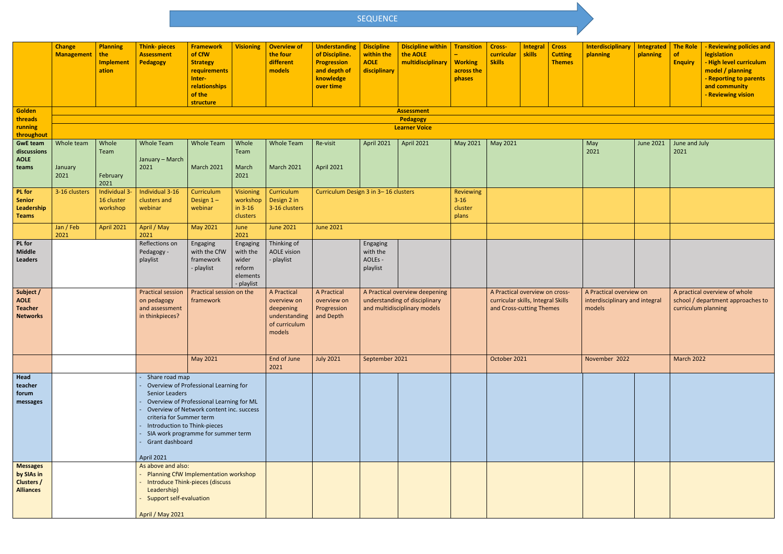|                                                                        | <b>Change</b><br><b>Management</b>                       | <b>Planning</b><br>the<br><b>Implement</b><br>ation | <b>Think-pieces</b><br><b>Assessment</b><br>Pedagogy                                                                                                                                                                                                                                                               | <b>Framework</b><br>of CfW<br><b>Strategy</b><br>requirements<br>Inter-<br>relationships<br>of the<br>structure | <b>Visioning</b>                                                  | <b>Overview of</b><br>the four<br>different<br>models                               | <b>Understanding</b><br>of Discipline.<br><b>Progression</b><br>and depth of<br>knowledge<br>over time | <b>Discipline</b><br>within the<br><b>AOLE</b><br>disciplinary                                  | <b>Discipline within</b><br>the AOLE<br>multidisciplinary | <b>Transition</b><br><b>Working</b><br>across the<br>phases | Cross-<br>curricular  <br><b>Skills</b>                                                          | <b>Integral</b><br>skills | <b>Cross</b><br><b>Cutting</b><br><b>Themes</b>                     | <b>Interdisciplinary</b><br>planning | <b>Integrated</b><br>planning | <b>The Role</b><br>of<br><b>Enquiry</b>                            | <b>Reviewing policies and</b><br><b>legislation</b><br>- High level curriculum<br>model / planning<br>- Reporting to parents<br>and community<br><b>Reviewing vision</b> |
|------------------------------------------------------------------------|----------------------------------------------------------|-----------------------------------------------------|--------------------------------------------------------------------------------------------------------------------------------------------------------------------------------------------------------------------------------------------------------------------------------------------------------------------|-----------------------------------------------------------------------------------------------------------------|-------------------------------------------------------------------|-------------------------------------------------------------------------------------|--------------------------------------------------------------------------------------------------------|-------------------------------------------------------------------------------------------------|-----------------------------------------------------------|-------------------------------------------------------------|--------------------------------------------------------------------------------------------------|---------------------------|---------------------------------------------------------------------|--------------------------------------|-------------------------------|--------------------------------------------------------------------|--------------------------------------------------------------------------------------------------------------------------------------------------------------------------|
| Golden                                                                 |                                                          | <b>Assessment</b>                                   |                                                                                                                                                                                                                                                                                                                    |                                                                                                                 |                                                                   |                                                                                     |                                                                                                        |                                                                                                 |                                                           |                                                             |                                                                                                  |                           |                                                                     |                                      |                               |                                                                    |                                                                                                                                                                          |
| threads<br>running                                                     | Pedagogy<br><b>Learner Voice</b>                         |                                                     |                                                                                                                                                                                                                                                                                                                    |                                                                                                                 |                                                                   |                                                                                     |                                                                                                        |                                                                                                 |                                                           |                                                             |                                                                                                  |                           |                                                                     |                                      |                               |                                                                    |                                                                                                                                                                          |
| throughout                                                             |                                                          |                                                     |                                                                                                                                                                                                                                                                                                                    |                                                                                                                 |                                                                   |                                                                                     |                                                                                                        |                                                                                                 |                                                           |                                                             |                                                                                                  |                           |                                                                     |                                      |                               |                                                                    |                                                                                                                                                                          |
| <b>GwE team</b><br>discussions<br><b>AOLE</b><br>teams                 | Whole team<br>January<br>2021                            | Whole<br>Team<br>February<br>2021                   | <b>Whole Team</b><br>January - March<br>2021                                                                                                                                                                                                                                                                       | <b>Whole Team</b><br><b>March 2021</b>                                                                          | Whole<br>Team<br>March<br>2021                                    | <b>Whole Team</b><br><b>March 2021</b>                                              | Re-visit<br><b>April 2021</b>                                                                          | April 2021                                                                                      | <b>April 2021</b>                                         | May 2021                                                    | May 2021                                                                                         |                           |                                                                     | May<br>2021                          | June 2021                     | June and July<br>2021                                              |                                                                                                                                                                          |
| <b>PL</b> for<br><b>Senior</b><br>Leadership<br><b>Teams</b>           | Individual 3-<br>3-16 clusters<br>16 cluster<br>workshop |                                                     | Individual 3-16<br>clusters and<br>webinar                                                                                                                                                                                                                                                                         | Curriculum<br>Design $1-$<br>webinar                                                                            | Visioning<br>workshop<br>in $3-16$<br>clusters                    | Curriculum<br>Design 2 in<br>3-16 clusters                                          | Curriculum Design 3 in 3-16 clusters                                                                   |                                                                                                 | Reviewing<br>$3 - 16$<br>cluster<br>plans                 |                                                             |                                                                                                  |                           |                                                                     |                                      |                               |                                                                    |                                                                                                                                                                          |
|                                                                        | Jan / Feb                                                | <b>April 2021</b>                                   | April / May<br>2021                                                                                                                                                                                                                                                                                                | May 2021                                                                                                        | June<br>2021                                                      | <b>June 2021</b>                                                                    | <b>June 2021</b>                                                                                       |                                                                                                 |                                                           |                                                             |                                                                                                  |                           |                                                                     |                                      |                               |                                                                    |                                                                                                                                                                          |
| <b>PL</b> for<br><b>Middle</b><br><b>Leaders</b>                       | 2021                                                     |                                                     | Reflections on<br>Pedagogy -<br>playlist                                                                                                                                                                                                                                                                           | Engaging<br>with the CfW<br>framework<br>- playlist                                                             | Engaging<br>with the<br>wider<br>reform<br>elements<br>- playlist | Thinking of<br><b>AOLE vision</b><br>- playlist                                     |                                                                                                        | Engaging<br>with the<br>AOLEs -<br>playlist                                                     |                                                           |                                                             |                                                                                                  |                           |                                                                     |                                      |                               |                                                                    |                                                                                                                                                                          |
| Subject /<br><b>AOLE</b><br><b>Teacher</b><br><b>Networks</b>          |                                                          |                                                     | <b>Practical session</b><br>on pedagogy<br>and assessment<br>in thinkpieces?                                                                                                                                                                                                                                       | Practical session on the<br>framework                                                                           |                                                                   | A Practical<br>overview on<br>deepening<br>understanding<br>of curriculum<br>models | A Practical<br>overview on<br>Progression<br>and Depth                                                 | A Practical overview deepening<br>understanding of disciplinary<br>and multidisciplinary models |                                                           |                                                             | A Practical overview on cross-<br>curricular skills, Integral Skills<br>and Cross-cutting Themes |                           | A Practical overview on<br>interdisciplinary and integral<br>models |                                      | curriculum planning           | A practical overview of whole<br>school / department approaches to |                                                                                                                                                                          |
|                                                                        |                                                          |                                                     |                                                                                                                                                                                                                                                                                                                    | May 2021                                                                                                        |                                                                   | End of June<br>2021                                                                 | <b>July 2021</b>                                                                                       | September 2021                                                                                  |                                                           |                                                             | October 2021                                                                                     |                           | November 2022                                                       |                                      | <b>March 2022</b>             |                                                                    |                                                                                                                                                                          |
| Head<br>teacher<br>forum<br>messages                                   |                                                          |                                                     | Share road map<br>Overview of Professional Learning for<br><b>Senior Leaders</b><br>Overview of Professional Learning for ML<br>Overview of Network content inc. success<br>criteria for Summer term<br>Introduction to Think-pieces<br>SIA work programme for summer term<br>Grant dashboard<br><b>April 2021</b> |                                                                                                                 |                                                                   |                                                                                     |                                                                                                        |                                                                                                 |                                                           |                                                             |                                                                                                  |                           |                                                                     |                                      |                               |                                                                    |                                                                                                                                                                          |
| <b>Messages</b><br>by SIAs in<br><b>Clusters /</b><br><b>Alliances</b> |                                                          |                                                     | As above and also:<br>Planning CfW Implementation workshop<br>Introduce Think-pieces (discuss<br>Leadership)<br><b>Support self-evaluation</b><br><b>April / May 2021</b>                                                                                                                                          |                                                                                                                 |                                                                   |                                                                                     |                                                                                                        |                                                                                                 |                                                           |                                                             |                                                                                                  |                           |                                                                     |                                      |                               |                                                                    |                                                                                                                                                                          |



## SEQUENCE